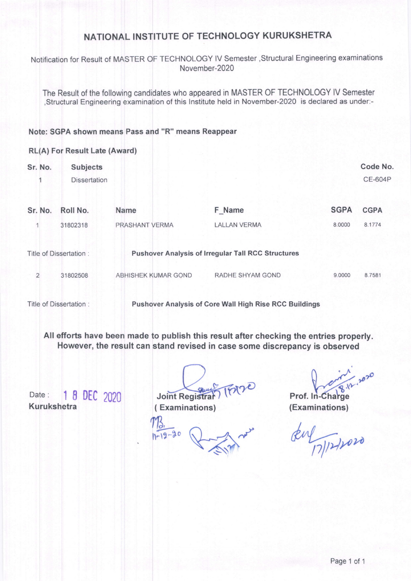### NATIONAL INSTITUTE OF TECHNOLOGY KURUKSHETRA

Notification for Result of MASTER OF TECHNOLOGY IV Semester , Structural Engineering examinations November-2020

The Result of the following candidates who appeared in MASTER OF TECHNOLOGY lV Semester ,structural Engineering examination of this lnstitute held in November-2020 is declared as under:-

### Note: SGPA shown means Pass and "R" means Reappear

### RL(A) For Result Late (Award)

| Sr. No.        | <b>Subjects</b><br><b>Dissertation</b> |                     |                                                           |             | Code No.<br><b>CE-604P</b> |
|----------------|----------------------------------------|---------------------|-----------------------------------------------------------|-------------|----------------------------|
| Sr. No.        | Roll No.                               | <b>Name</b>         | F Name                                                    | <b>SGPA</b> | <b>CGPA</b>                |
|                | 31802318                               | PRASHANT VERMA      | <b>LALLAN VERMA</b>                                       | 8.0000      | 8.1774                     |
|                | Title of Dissertation:                 |                     | <b>Pushover Analysis of Irregular Tall RCC Structures</b> |             |                            |
| $\overline{2}$ | 31802508                               | ABHISHEK KUMAR GOND | RADHE SHYAM GOND                                          | 9.0000      | 8.7581                     |
|                |                                        |                     |                                                           |             |                            |

Title of Dissertation : Pushover Analysis of Core Wall High Rise RCC Buildings

All efforts have been made to publish this result after checking the entries properly. However, the result can stand revised in case some discrepancy is obserued

Date: 1 8 DEC 2020 Kurukshetra

Usint Registrary IFAND<br>Examinations) (Examinations)

( Examinations)

(Examinations)

k" q<".{ fur,"